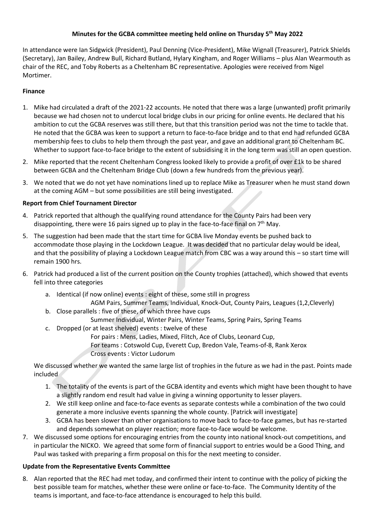# **Minutes for the GCBA committee meeting held online on Thursday 5 th May 2022**

In attendance were Ian Sidgwick (President), Paul Denning (Vice-President), Mike Wignall (Treasurer), Patrick Shields (Secretary), Jan Bailey, Andrew Bull, Richard Butland, Hylary Kingham, and Roger Williams – plus Alan Wearmouth as chair of the REC, and Toby Roberts as a Cheltenham BC representative. Apologies were received from Nigel Mortimer.

## **Finance**

- 1. Mike had circulated a draft of the 2021-22 accounts. He noted that there was a large (unwanted) profit primarily because we had chosen not to undercut local bridge clubs in our pricing for online events. He declared that his ambition to cut the GCBA reserves was still there, but that this transition period was not the time to tackle that. He noted that the GCBA was keen to support a return to face-to-face bridge and to that end had refunded GCBA membership fees to clubs to help them through the past year, and gave an additional grant to Cheltenham BC. Whether to support face-to-face bridge to the extent of subsidising it in the long term was still an open question.
- 2. Mike reported that the recent Cheltenham Congress looked likely to provide a profit of over £1k to be shared between GCBA and the Cheltenham Bridge Club (down a few hundreds from the previous year).
- 3. We noted that we do not yet have nominations lined up to replace Mike as Treasurer when he must stand down at the coming AGM – but some possibilities are still being investigated.

# **Report from Chief Tournament Director**

- 4. Patrick reported that although the qualifying round attendance for the County Pairs had been very disappointing, there were 16 pairs signed up to play in the face-to-face final on  $7<sup>th</sup>$  May.
- 5. The suggestion had been made that the start time for GCBA live Monday events be pushed back to accommodate those playing in the Lockdown League. It was decided that no particular delay would be ideal, and that the possibility of playing a Lockdown League match from CBC was a way around this – so start time will remain 1900 hrs.
- 6. Patrick had produced a list of the current position on the County trophies (attached), which showed that events fell into three categories
	- a. Identical (if now online) events : eight of these, some still in progress AGM Pairs, Summer Teams, Individual, Knock-Out, County Pairs, Leagues (1,2,Cleverly)
	- b. Close parallels : five of these, of which three have cups
		- Summer Individual, Winter Pairs, Winter Teams, Spring Pairs, Spring Teams
	- c. Dropped (or at least shelved) events : twelve of these
		- For pairs : Mens, Ladies, Mixed, Flitch, Ace of Clubs, Leonard Cup,
		- For teams : Cotswold Cup, Everett Cup, Bredon Vale, Teams-of-8, Rank Xerox
		- Cross events : Victor Ludorum

We discussed whether we wanted the same large list of trophies in the future as we had in the past. Points made included

- 1. The totality of the events is part of the GCBA identity and events which might have been thought to have a slightly random end result had value in giving a winning opportunity to lesser players.
- 2. We still keep online and face-to-face events as separate contests while a combination of the two could generate a more inclusive events spanning the whole county. [Patrick will investigate]
- 3. GCBA has been slower than other organisations to move back to face-to-face games, but has re-started and depends somewhat on player reaction; more face-to-face would be welcome.
- 7. We discussed some options for encouraging entries from the county into national knock-out competitions, and in particular the NICKO. We agreed that some form of financial support to entries would be a Good Thing, and Paul was tasked with preparing a firm proposal on this for the next meeting to consider.

# **Update from the Representative Events Committee**

8. Alan reported that the REC had met today, and confirmed their intent to continue with the policy of picking the best possible team for matches, whether these were online or face-to-face. The Community Identity of the teams is important, and face-to-face attendance is encouraged to help this build.